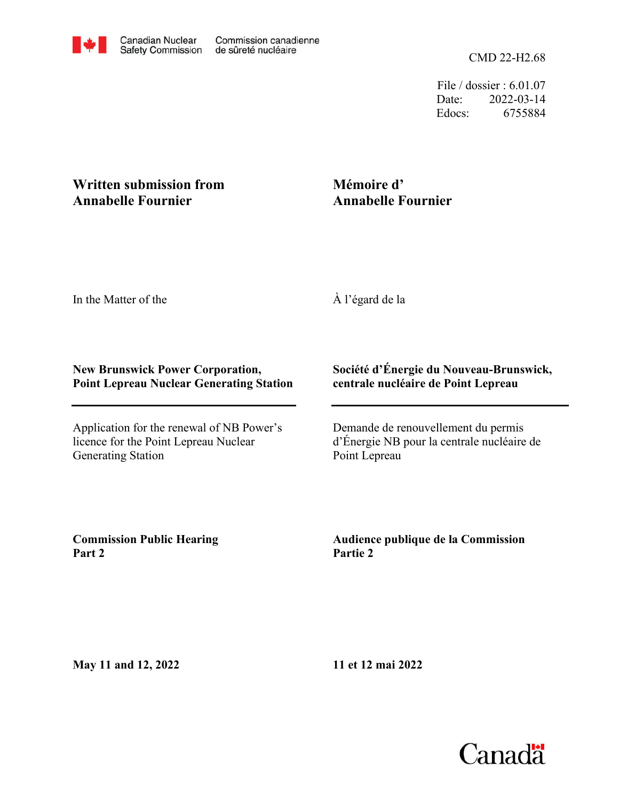File / dossier : 6.01.07 Date: 2022-03-14 Edocs: 6755884

## **Written submission from Annabelle Fournier**

# **Mémoire d' Annabelle Fournier**

In the Matter of the

À l'égard de la

#### **New Brunswick Power Corporation, Point Lepreau Nuclear Generating Station**

Application for the renewal of NB Power's licence for the Point Lepreau Nuclear Generating Station

### **Société d'Énergie du Nouveau-Brunswick, centrale nucléaire de Point Lepreau**

Demande de renouvellement du permis d'Énergie NB pour la centrale nucléaire de Point Lepreau

**Commission Public Hearing Part 2**

**Audience publique de la Commission Partie 2**

**May 11 and 12, 2022**

**11 et 12 mai 2022**

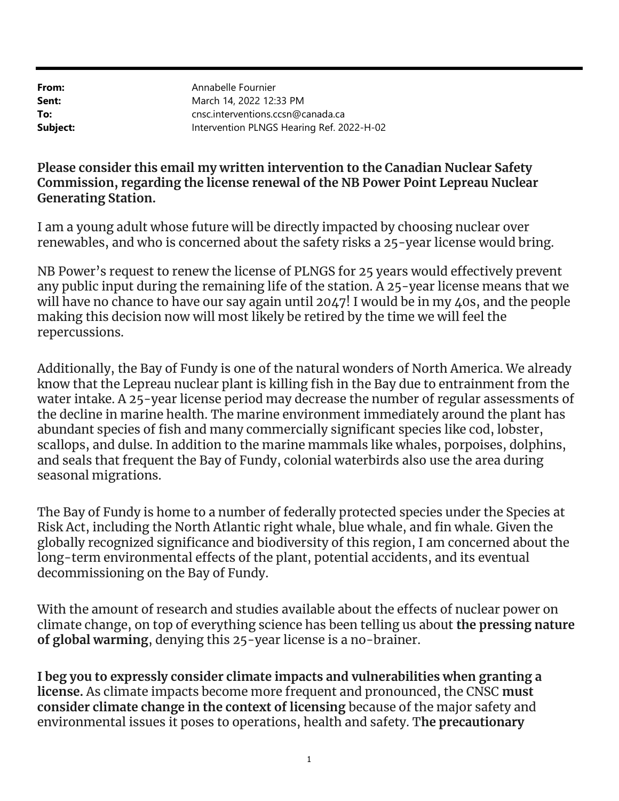From: Sent: To: Subject:

Intervention PLNGS Hearing Ref. 2022-H-02 cnsc.interventions.ccsn@canada.ca March 14, 2022 12:33 PM Annabelle Fournier

## Please consider this email my written intervention to the Canadian Nuclear Safety Commission, regarding the license renewal of the NB Power Point Lepreau Nuclear Generating Station.

I am a young adult whose future will be directly impacted by choosing nuclear over renewables, and who is concerned about the safety risks a 25-year license would bring.

NB Power's request to renew the license of PLNGS for 25 years would effectively prevent any public input during the remaining life of the station. A 25-year license means that we will have no chance to have our say again until 2047! I would be in my 40s, and the people making this decision now will most likely be retired by the time we will feel the repercussions.

Additionally, the Bay of Fundy is one of the natural wonders of North America. We already know that the Lepreau nuclear plant is killing fish in the Bay due to entrainment from the water intake. A 25-year license period may decrease the number of regular assessments of the decline in marine health. The marine environment immediately around the plant has abundant species of fish and many commercially significant species like cod, lobster, scallops, and dulse. In addition to the marine mammals like whales, porpoises, dolphins, and seals that frequent the Bay of Fundy, colonial waterbirds also use the area during seasonal migrations.

The Bay of Fundy is home to a number of federally protected species under the Species at Risk Act, including the North Atlantic right whale, blue whale, and fin whale. Given the globally recognized significance and biodiversity of this region, I am concerned about the long-term environmental effects of the plant, potential accidents, and its eventual decommissioning on the Bay of Fundy.

With the amount of research and studies available about the effects of nuclear power on climate change, on top of everything science has been telling us about the pressing nature of global warming, denying this 25-year license is a no-brainer.

I beg you to expressly consider climate impacts and vulnerabilities when granting a license. As climate impacts become more frequent and pronounced, the CNSC must consider climate change in the context of licensing because of the major safety and environmental issues it poses to operations, health and safety. The precautionary